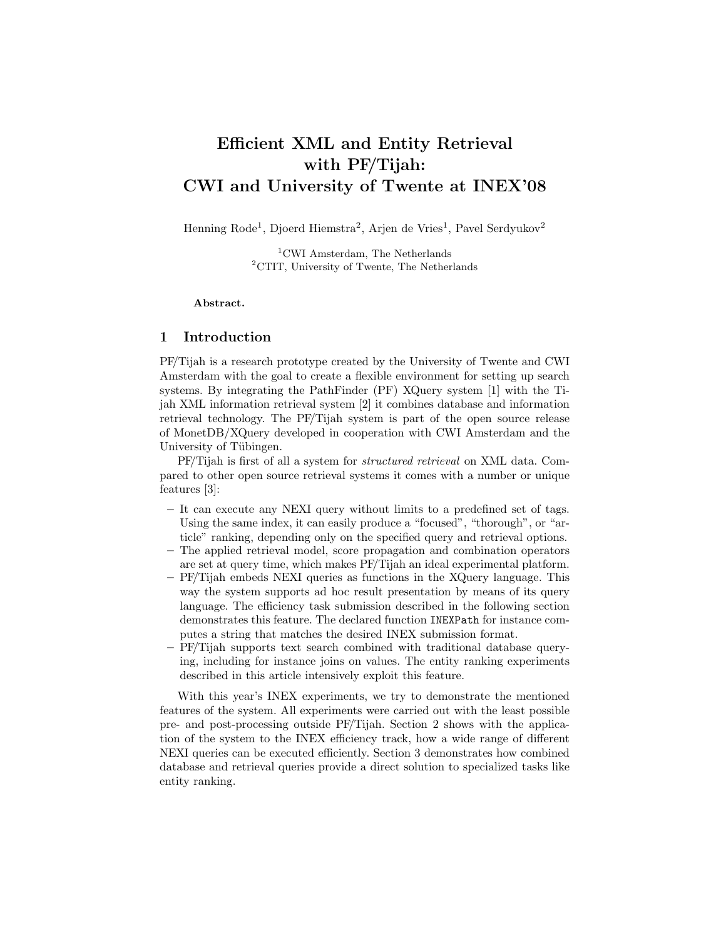# Efficient XML and Entity Retrieval with PF/Tijah: CWI and University of Twente at INEX'08

Henning Rode<sup>1</sup>, Djoerd Hiemstra<sup>2</sup>, Arjen de Vries<sup>1</sup>, Pavel Serdyukov<sup>2</sup>

<sup>1</sup>CWI Amsterdam, The Netherlands <sup>2</sup>CTIT, University of Twente, The Netherlands

#### Abstract.

## 1 Introduction

PF/Tijah is a research prototype created by the University of Twente and CWI Amsterdam with the goal to create a flexible environment for setting up search systems. By integrating the PathFinder (PF) XQuery system [1] with the Tijah XML information retrieval system [2] it combines database and information retrieval technology. The PF/Tijah system is part of the open source release of MonetDB/XQuery developed in cooperation with CWI Amsterdam and the University of Tübingen.

PF/Tijah is first of all a system for structured retrieval on XML data. Compared to other open source retrieval systems it comes with a number or unique features [3]:

- It can execute any NEXI query without limits to a predefined set of tags. Using the same index, it can easily produce a "focused", "thorough", or "article" ranking, depending only on the specified query and retrieval options.
- The applied retrieval model, score propagation and combination operators are set at query time, which makes PF/Tijah an ideal experimental platform.
- PF/Tijah embeds NEXI queries as functions in the XQuery language. This way the system supports ad hoc result presentation by means of its query language. The efficiency task submission described in the following section demonstrates this feature. The declared function INEXPath for instance computes a string that matches the desired INEX submission format.
- PF/Tijah supports text search combined with traditional database querying, including for instance joins on values. The entity ranking experiments described in this article intensively exploit this feature.

With this year's INEX experiments, we try to demonstrate the mentioned features of the system. All experiments were carried out with the least possible pre- and post-processing outside PF/Tijah. Section 2 shows with the application of the system to the INEX efficiency track, how a wide range of different NEXI queries can be executed efficiently. Section 3 demonstrates how combined database and retrieval queries provide a direct solution to specialized tasks like entity ranking.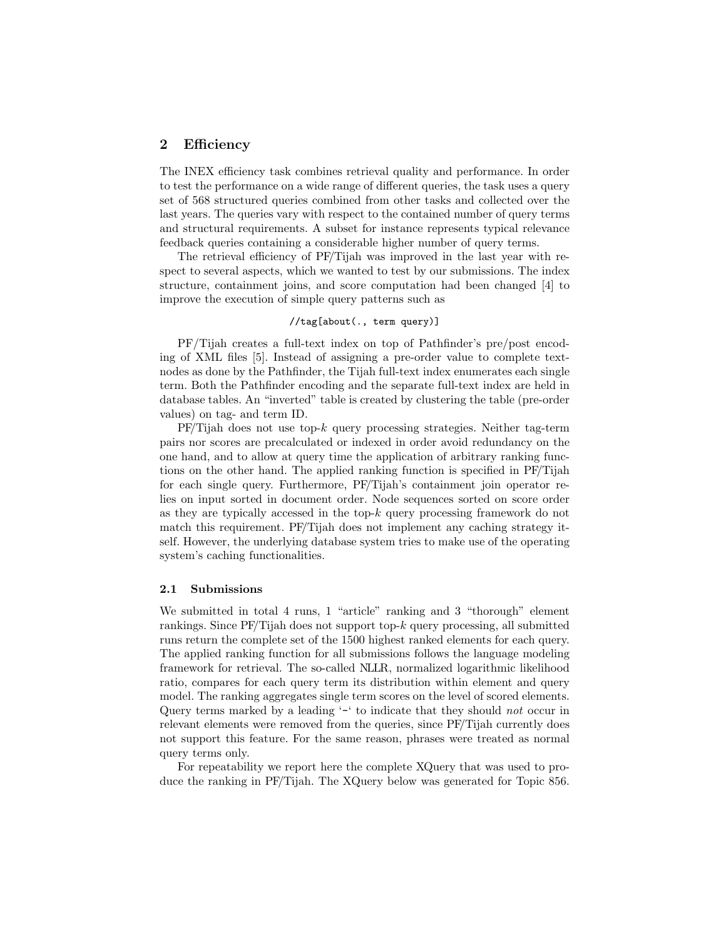# 2 Efficiency

The INEX efficiency task combines retrieval quality and performance. In order to test the performance on a wide range of different queries, the task uses a query set of 568 structured queries combined from other tasks and collected over the last years. The queries vary with respect to the contained number of query terms and structural requirements. A subset for instance represents typical relevance feedback queries containing a considerable higher number of query terms.

The retrieval efficiency of PF/Tijah was improved in the last year with respect to several aspects, which we wanted to test by our submissions. The index structure, containment joins, and score computation had been changed [4] to improve the execution of simple query patterns such as

#### //tag[about(., term query)]

PF/Tijah creates a full-text index on top of Pathfinder's pre/post encoding of XML files [5]. Instead of assigning a pre-order value to complete textnodes as done by the Pathfinder, the Tijah full-text index enumerates each single term. Both the Pathfinder encoding and the separate full-text index are held in database tables. An "inverted" table is created by clustering the table (pre-order values) on tag- and term ID.

 $PF/Ti$ ah does not use top- $k$  query processing strategies. Neither tag-term pairs nor scores are precalculated or indexed in order avoid redundancy on the one hand, and to allow at query time the application of arbitrary ranking functions on the other hand. The applied ranking function is specified in PF/Tijah for each single query. Furthermore, PF/Tijah's containment join operator relies on input sorted in document order. Node sequences sorted on score order as they are typically accessed in the top- $k$  query processing framework do not match this requirement. PF/Tijah does not implement any caching strategy itself. However, the underlying database system tries to make use of the operating system's caching functionalities.

#### 2.1 Submissions

We submitted in total 4 runs, 1 "article" ranking and 3 "thorough" element rankings. Since  $PF/Tijah$  does not support top- $k$  query processing, all submitted runs return the complete set of the 1500 highest ranked elements for each query. The applied ranking function for all submissions follows the language modeling framework for retrieval. The so-called NLLR, normalized logarithmic likelihood ratio, compares for each query term its distribution within element and query model. The ranking aggregates single term scores on the level of scored elements. Query terms marked by a leading  $-$  to indicate that they should not occur in relevant elements were removed from the queries, since PF/Tijah currently does not support this feature. For the same reason, phrases were treated as normal query terms only.

For repeatability we report here the complete XQuery that was used to produce the ranking in PF/Tijah. The XQuery below was generated for Topic 856.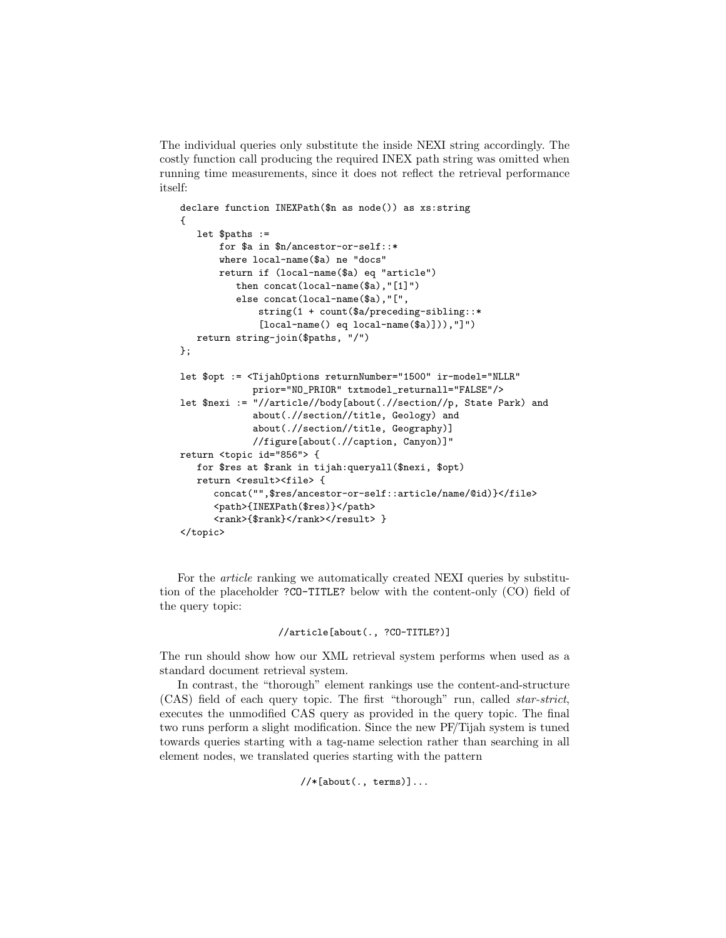The individual queries only substitute the inside NEXI string accordingly. The costly function call producing the required INEX path string was omitted when running time measurements, since it does not reflect the retrieval performance itself:

```
declare function INEXPath($n as node()) as xs:string
{
   let $paths :=
       for $a in $n/ancestor-or-self::*
       where local-name($a) ne "docs"
       return if (local-name($a) eq "article")
          then concat(local-name($a),"[1]")
          else concat(local-name($a),"[",
              string(1 + count($a/preceding-sibling::*
              [local-name() eq local-name($a)])),"]")
   return string-join($paths, "/")
};
let $opt := <TijahOptions returnNumber="1500" ir-model="NLLR"
             prior="NO_PRIOR" txtmodel_returnall="FALSE"/>
let $nexi := "//article//body[about(.//section//p, State Park) and
             about(.//section//title, Geology) and
             about(.//section//title, Geography)]
             //figure[about(.//caption, Canyon)]"
return <topic id="856"> {
   for $res at $rank in tijah:queryall($nexi, $opt)
   return <result><file> {
      concat("",$res/ancestor-or-self::article/name/@id)}</file>
      <path>{INEXPath($res)}</path>
      <rank>{$rank}</rank></result> }
</topic>
```
For the article ranking we automatically created NEXI queries by substitution of the placeholder ?CO-TITLE? below with the content-only (CO) field of the query topic:

```
//article[about(., ?CO-TITLE?)]
```
The run should show how our XML retrieval system performs when used as a standard document retrieval system.

In contrast, the "thorough" element rankings use the content-and-structure (CAS) field of each query topic. The first "thorough" run, called star-strict, executes the unmodified CAS query as provided in the query topic. The final two runs perform a slight modification. Since the new PF/Tijah system is tuned towards queries starting with a tag-name selection rather than searching in all element nodes, we translated queries starting with the pattern

 $//*[about(., terms)].$ ...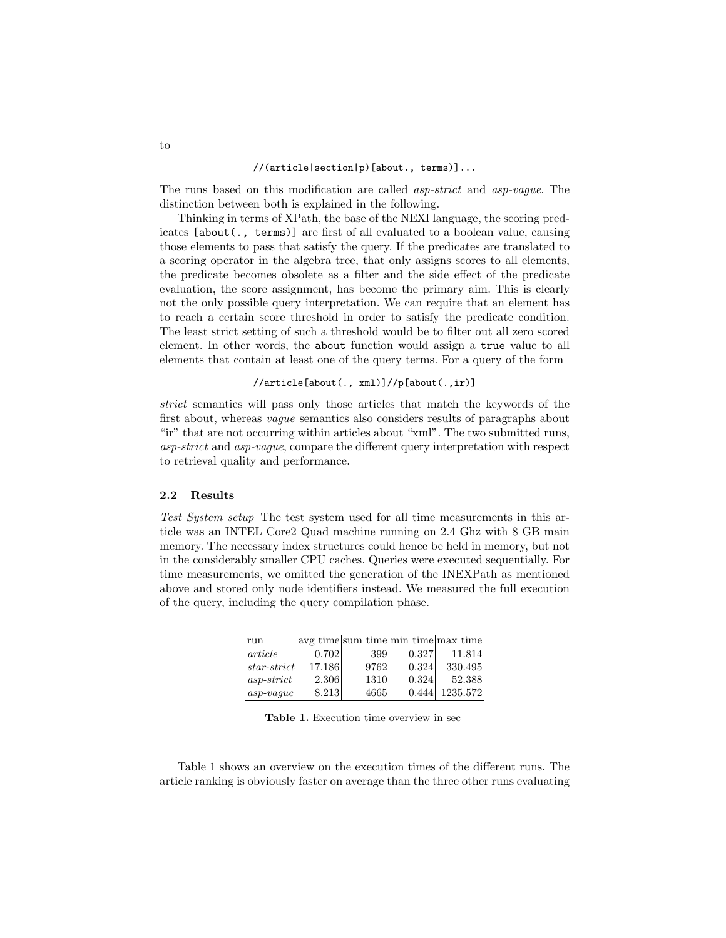#### //(article|section|p)[about., terms)]...

The runs based on this modification are called asp-strict and asp-vague. The distinction between both is explained in the following.

Thinking in terms of XPath, the base of the NEXI language, the scoring predicates [about(., terms)] are first of all evaluated to a boolean value, causing those elements to pass that satisfy the query. If the predicates are translated to a scoring operator in the algebra tree, that only assigns scores to all elements, the predicate becomes obsolete as a filter and the side effect of the predicate evaluation, the score assignment, has become the primary aim. This is clearly not the only possible query interpretation. We can require that an element has to reach a certain score threshold in order to satisfy the predicate condition. The least strict setting of such a threshold would be to filter out all zero scored element. In other words, the about function would assign a true value to all elements that contain at least one of the query terms. For a query of the form

//article[about(., xml)]//p[about(.,ir)]

strict semantics will pass only those articles that match the keywords of the first about, whereas vague semantics also considers results of paragraphs about "ir" that are not occurring within articles about "xml". The two submitted runs, asp-strict and asp-vague, compare the different query interpretation with respect to retrieval quality and performance.

# 2.2 Results

Test System setup The test system used for all time measurements in this article was an INTEL Core2 Quad machine running on 2.4 Ghz with 8 GB main memory. The necessary index structures could hence be held in memory, but not in the considerably smaller CPU caches. Queries were executed sequentially. For time measurements, we omitted the generation of the INEXPath as mentioned above and stored only node identifiers instead. We measured the full execution of the query, including the query compilation phase.

| run                  |        |      |       | $\alpha$ avg time sum time min time max time |
|----------------------|--------|------|-------|----------------------------------------------|
| article              | 0.702  | 399  | 0.327 | 11.814                                       |
| $star\text{-}strict$ | 17.186 | 9762 | 0.324 | 330.495                                      |
| $asp-strict$         | 2.306  | 1310 | 0.324 | 52.388                                       |
| $as p\text{-}va que$ | 8.213  | 4665 | 0.444 | 1235.572                                     |

Table 1. Execution time overview in sec

Table 1 shows an overview on the execution times of the different runs. The article ranking is obviously faster on average than the three other runs evaluating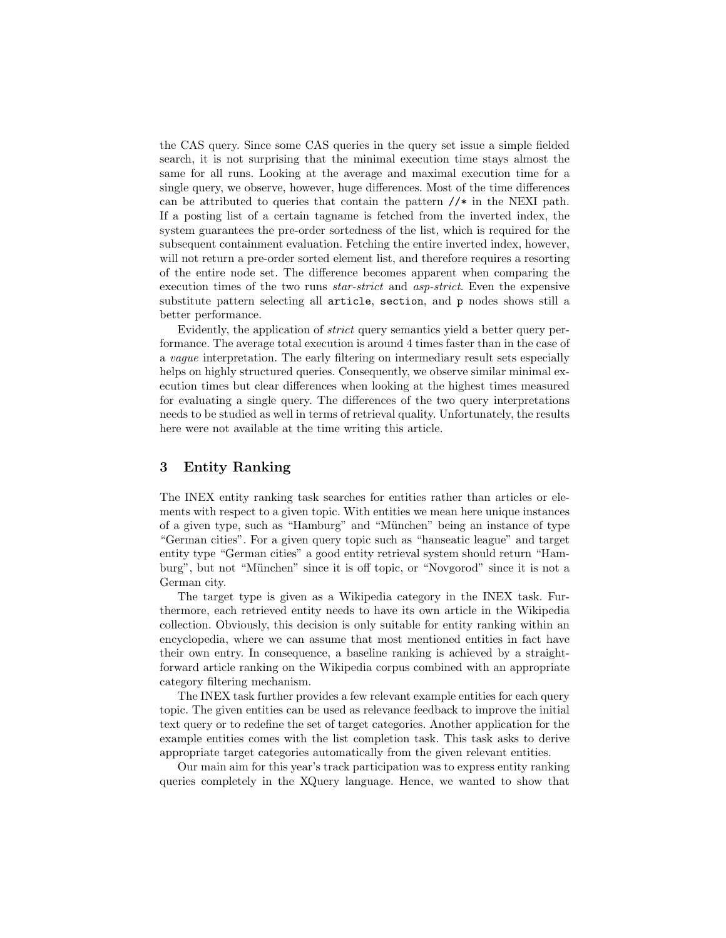the CAS query. Since some CAS queries in the query set issue a simple fielded search, it is not surprising that the minimal execution time stays almost the same for all runs. Looking at the average and maximal execution time for a single query, we observe, however, huge differences. Most of the time differences can be attributed to queries that contain the pattern //\* in the NEXI path. If a posting list of a certain tagname is fetched from the inverted index, the system guarantees the pre-order sortedness of the list, which is required for the subsequent containment evaluation. Fetching the entire inverted index, however, will not return a pre-order sorted element list, and therefore requires a resorting of the entire node set. The difference becomes apparent when comparing the execution times of the two runs star-strict and asp-strict. Even the expensive substitute pattern selecting all article, section, and p nodes shows still a better performance.

Evidently, the application of strict query semantics yield a better query performance. The average total execution is around 4 times faster than in the case of a vague interpretation. The early filtering on intermediary result sets especially helps on highly structured queries. Consequently, we observe similar minimal execution times but clear differences when looking at the highest times measured for evaluating a single query. The differences of the two query interpretations needs to be studied as well in terms of retrieval quality. Unfortunately, the results here were not available at the time writing this article.

# 3 Entity Ranking

The INEX entity ranking task searches for entities rather than articles or elements with respect to a given topic. With entities we mean here unique instances of a given type, such as "Hamburg" and "M¨unchen" being an instance of type "German cities". For a given query topic such as "hanseatic league" and target entity type "German cities" a good entity retrieval system should return "Hamburg", but not "München" since it is off topic, or "Novgorod" since it is not a German city.

The target type is given as a Wikipedia category in the INEX task. Furthermore, each retrieved entity needs to have its own article in the Wikipedia collection. Obviously, this decision is only suitable for entity ranking within an encyclopedia, where we can assume that most mentioned entities in fact have their own entry. In consequence, a baseline ranking is achieved by a straightforward article ranking on the Wikipedia corpus combined with an appropriate category filtering mechanism.

The INEX task further provides a few relevant example entities for each query topic. The given entities can be used as relevance feedback to improve the initial text query or to redefine the set of target categories. Another application for the example entities comes with the list completion task. This task asks to derive appropriate target categories automatically from the given relevant entities.

Our main aim for this year's track participation was to express entity ranking queries completely in the XQuery language. Hence, we wanted to show that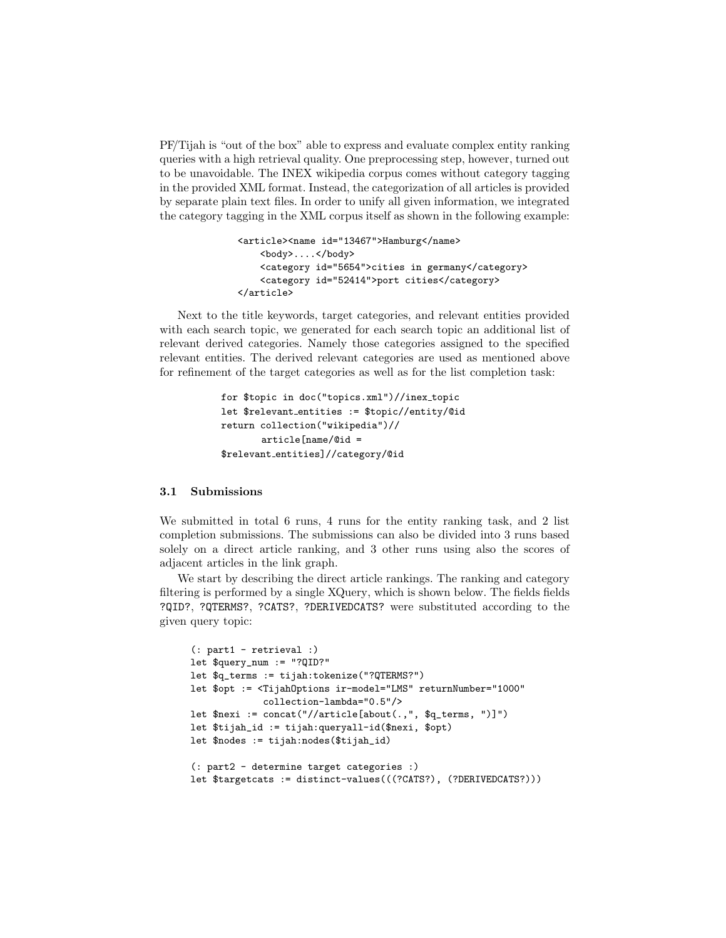PF/Tijah is "out of the box" able to express and evaluate complex entity ranking queries with a high retrieval quality. One preprocessing step, however, turned out to be unavoidable. The INEX wikipedia corpus comes without category tagging in the provided XML format. Instead, the categorization of all articles is provided by separate plain text files. In order to unify all given information, we integrated the category tagging in the XML corpus itself as shown in the following example:

```
<article><name id="13467">Hamburg</name>
    <body>....</body>
    <category id="5654">cities in germany</category>
    <category id="52414">port cities</category>
</article>
```
Next to the title keywords, target categories, and relevant entities provided with each search topic, we generated for each search topic an additional list of relevant derived categories. Namely those categories assigned to the specified relevant entities. The derived relevant categories are used as mentioned above for refinement of the target categories as well as for the list completion task:

```
for $topic in doc("topics.xml")//inex topic
let $relevant entities := $topic//entity/@id
return collection("wikipedia")//
       article[name/@id =
$relevant entities]//category/@id
```
## 3.1 Submissions

We submitted in total 6 runs, 4 runs for the entity ranking task, and 2 list completion submissions. The submissions can also be divided into 3 runs based solely on a direct article ranking, and 3 other runs using also the scores of adjacent articles in the link graph.

We start by describing the direct article rankings. The ranking and category filtering is performed by a single XQuery, which is shown below. The fields fields ?QID?, ?QTERMS?, ?CATS?, ?DERIVEDCATS? were substituted according to the given query topic:

```
(: part1 - retrieval :)
let $query_num := "?QID?"
let $q_terms := tijah:tokenize("?QTERMS?")
let $opt := <TijahOptions ir-model="LMS" returnNumber="1000"
             collection-lambda="0.5"/>
let $nexi := concat("//article[about(.,", $q_terms, ")]")
let $tijah_id := tijah:queryall-id($nexi, $opt)
let $nodes := tijah:nodes($tijah_id)
(: part2 - determine target categories :)
let $targetcats := distinct-values(((?CATS?), (?DERIVEDCATS?)))
```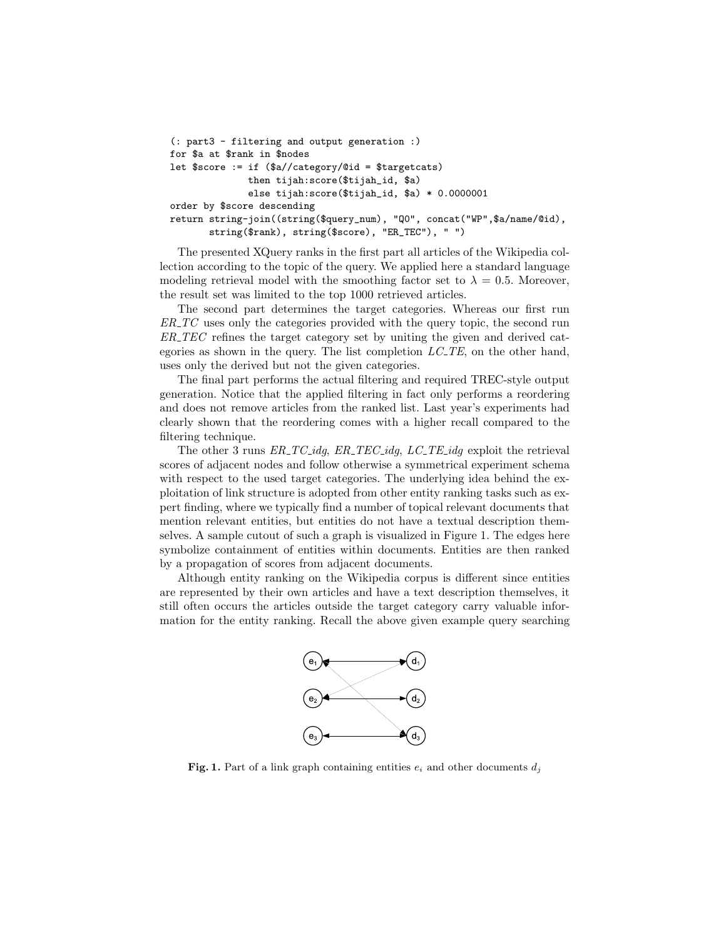```
(: part3 - filtering and output generation :)
for $a at $rank in $nodes
let $score := if ($a//category/@id = $targetcats)
              then tijah:score($tijah_id, $a)
              else tijah:score($tijah_id, $a) * 0.0000001
order by $score descending
return string-join((string($query_num), "Q0", concat("WP",$a/name/@id),
       string($rank), string($score), "ER_TEC"), " ")
```
The presented XQuery ranks in the first part all articles of the Wikipedia collection according to the topic of the query. We applied here a standard language modeling retrieval model with the smoothing factor set to  $\lambda = 0.5$ . Moreover, the result set was limited to the top 1000 retrieved articles.

The second part determines the target categories. Whereas our first run ER TC uses only the categories provided with the query topic, the second run ER TEC refines the target category set by uniting the given and derived categories as shown in the query. The list completion  $LC_TE$ , on the other hand, uses only the derived but not the given categories.

The final part performs the actual filtering and required TREC-style output generation. Notice that the applied filtering in fact only performs a reordering and does not remove articles from the ranked list. Last year's experiments had clearly shown that the reordering comes with a higher recall compared to the filtering technique.

The other 3 runs  $ER\_TC\_idg$ ,  $ER\_TEC\_idg$ ,  $LC\_TE\_idg$  exploit the retrieval scores of adjacent nodes and follow otherwise a symmetrical experiment schema with respect to the used target categories. The underlying idea behind the exploitation of link structure is adopted from other entity ranking tasks such as expert finding, where we typically find a number of topical relevant documents that mention relevant entities, but entities do not have a textual description themselves. A sample cutout of such a graph is visualized in Figure 1. The edges here symbolize containment of entities within documents. Entities are then ranked by a propagation of scores from adjacent documents.

Although entity ranking on the Wikipedia corpus is different since entities are represented by their own articles and have a text description themselves, it still often occurs the articles outside the target category carry valuable information for the entity ranking. Recall the above given example query searching



**Fig. 1.** Part of a link graph containing entities  $e_i$  and other documents  $d_j$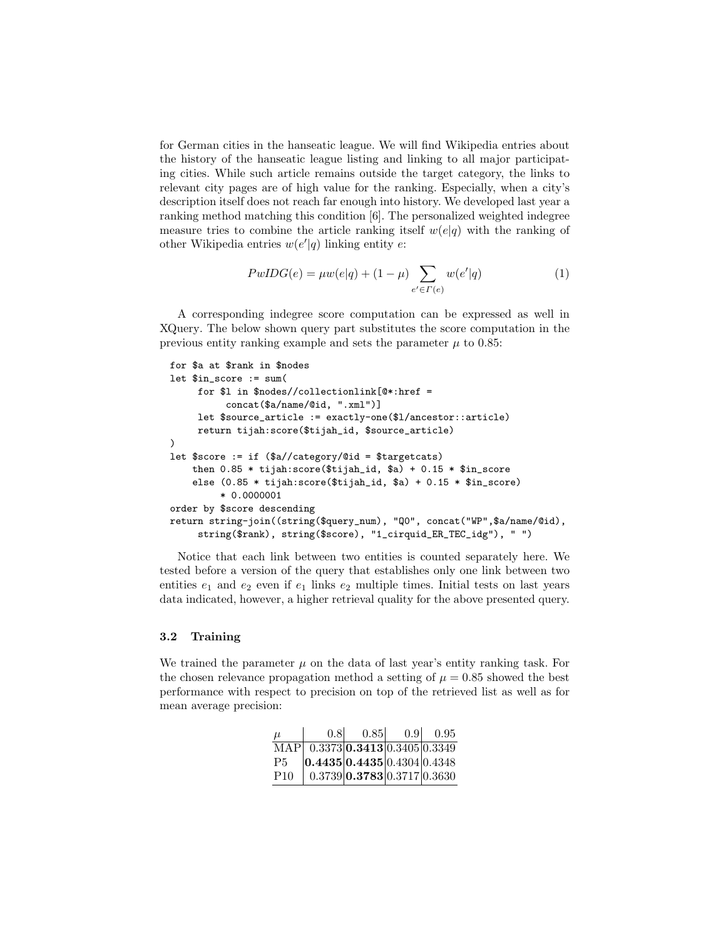for German cities in the hanseatic league. We will find Wikipedia entries about the history of the hanseatic league listing and linking to all major participating cities. While such article remains outside the target category, the links to relevant city pages are of high value for the ranking. Especially, when a city's description itself does not reach far enough into history. We developed last year a ranking method matching this condition [6]. The personalized weighted indegree measure tries to combine the article ranking itself  $w(e|q)$  with the ranking of other Wikipedia entries  $w(e'|q)$  linking entity e:

$$
PwIDG(e) = \mu w(e|q) + (1 - \mu) \sum_{e' \in \Gamma(e)} w(e'|q)
$$
 (1)

A corresponding indegree score computation can be expressed as well in XQuery. The below shown query part substitutes the score computation in the previous entity ranking example and sets the parameter  $\mu$  to 0.85:

```
for $a at $rank in $nodes
let $in_score := sum(
     for $l in $nodes//collectionlink[@*:href =
          concat($a/name/@id, ".xml")]
     let $source_article := exactly-one($l/ancestor::article)
     return tijah:score($tijah_id, $source_article)
)
let $score := if ($a//category/@id = $targetcats)
    then 0.85 * tijah:score($tijah_id, $a) + 0.15 * $in_score
    else (0.85 * tijah:score($tijah_id, $a) + 0.15 * $in_score)
         * 0.0000001
order by $score descending
return string-join((string($query_num), "Q0", concat("WP",$a/name/@id),
     string($rank), string($score), "1_cirquid_ER_TEC_idg"), " ")
```
Notice that each link between two entities is counted separately here. We tested before a version of the query that establishes only one link between two entities  $e_1$  and  $e_2$  even if  $e_1$  links  $e_2$  multiple times. Initial tests on last years data indicated, however, a higher retrieval quality for the above presented query.

## 3.2 Training

We trained the parameter  $\mu$  on the data of last year's entity ranking task. For the chosen relevance propagation method a setting of  $\mu = 0.85$  showed the best performance with respect to precision on top of the retrieved list as well as for mean average precision:

| $\mu$           | 0.81                                                      | 0.85                        | $0.91 \quad 0.95$ |
|-----------------|-----------------------------------------------------------|-----------------------------|-------------------|
|                 | MAP $\vert 0.3373 \vert 0.3413 \vert 0.3405 \vert 0.3349$ |                             |                   |
| P5.             | 0.4435 0.4435 0.4304 0.4348                               |                             |                   |
| P <sub>10</sub> |                                                           | 0.3739 0.3783 0.3717 0.3630 |                   |